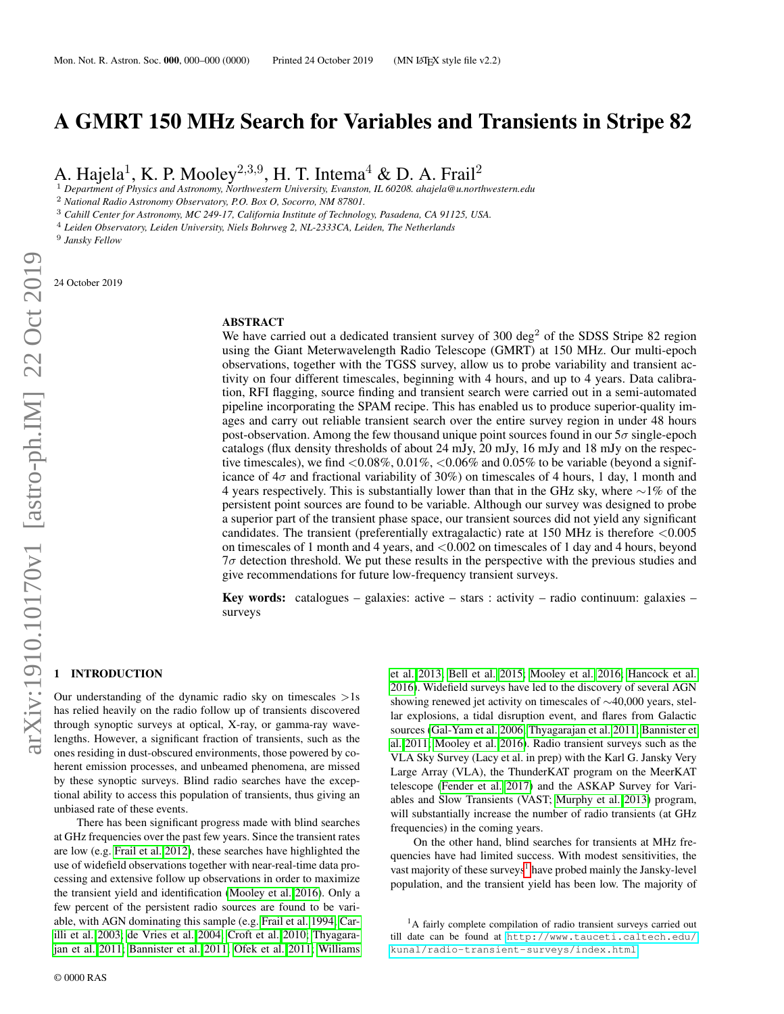# A GMRT 150 MHz Search for Variables and Transients in Stripe 82

A. Hajela<sup>1</sup>, K. P. Mooley<sup>2,3,9</sup>, H. T. Intema<sup>4</sup> & D. A. Frail<sup>2</sup>

<sup>1</sup> *Department of Physics and Astronomy, Northwestern University, Evanston, IL 60208. ahajela@u.northwestern.edu*

<sup>2</sup> *National Radio Astronomy Observatory, P.O. Box O, Socorro, NM 87801.*

<sup>3</sup> *Cahill Center for Astronomy, MC 249-17, California Institute of Technology, Pasadena, CA 91125, USA.*

<sup>4</sup> *Leiden Observatory, Leiden University, Niels Bohrweg 2, NL-2333CA, Leiden, The Netherlands*

9 *Jansky Fellow*

24 October 2019

## ABSTRACT

We have carried out a dedicated transient survey of  $300 \text{ deg}^2$  of the SDSS Stripe 82 region using the Giant Meterwavelength Radio Telescope (GMRT) at 150 MHz. Our multi-epoch observations, together with the TGSS survey, allow us to probe variability and transient activity on four different timescales, beginning with 4 hours, and up to 4 years. Data calibration, RFI flagging, source finding and transient search were carried out in a semi-automated pipeline incorporating the SPAM recipe. This has enabled us to produce superior-quality images and carry out reliable transient search over the entire survey region in under 48 hours post-observation. Among the few thousand unique point sources found in our  $5\sigma$  single-epoch catalogs (flux density thresholds of about 24 mJy, 20 mJy, 16 mJy and 18 mJy on the respective timescales), we find  $\langle 0.08\%, 0.01\%, \langle 0.06\% \text{ and } 0.05\% \text{ to be variable (beyond a significant}) \rangle$ icance of  $4\sigma$  and fractional variability of 30%) on timescales of 4 hours, 1 day, 1 month and 4 years respectively. This is substantially lower than that in the GHz sky, where  $\sim$ 1% of the persistent point sources are found to be variable. Although our survey was designed to probe a superior part of the transient phase space, our transient sources did not yield any significant candidates. The transient (preferentially extragalactic) rate at 150 MHz is therefore <0.005 on timescales of 1 month and 4 years, and  $\langle 0.002 \rangle$  on timescales of 1 day and 4 hours, beyond  $7\sigma$  detection threshold. We put these results in the perspective with the previous studies and give recommendations for future low-frequency transient surveys.

**Key words:** catalogues – galaxies: active – stars : activity – radio continuum: galaxies – surveys

## **INTRODUCTION**

Our understanding of the dynamic radio sky on timescales  $>1s$ has relied heavily on the radio follow up of transients discovered through synoptic surveys at optical, X-ray, or gamma-ray wavelengths. However, a significant fraction of transients, such as the ones residing in dust-obscured environments, those powered by coherent emission processes, and unbeamed phenomena, are missed by these synoptic surveys. Blind radio searches have the exceptional ability to access this population of transients, thus giving an unbiased rate of these events.

There has been significant progress made with blind searches at GHz frequencies over the past few years. Since the transient rates are low (e.g. [Frail et al. 2012\)](#page-7-0), these searches have highlighted the use of widefield observations together with near-real-time data processing and extensive follow up observations in order to maximize the transient yield and identification [\(Mooley et al. 2016\)](#page-8-0). Only a few percent of the persistent radio sources are found to be variable, with AGN dominating this sample (e.g. [Frail et al. 1994;](#page-7-1) [Car](#page-7-2)[illi et al. 2003;](#page-7-2) [de Vries et al. 2004;](#page-7-3) [Croft et al. 2010;](#page-7-4) [Thyagara](#page-8-1)[jan et al. 2011;](#page-8-1) [Bannister et al. 2011;](#page-7-5) [Ofek et al. 2011;](#page-8-2) [Williams](#page-8-3)

[et al. 2013;](#page-8-3) [Bell et al. 2015;](#page-7-6) [Mooley et al. 2016;](#page-8-0) [Hancock et al.](#page-7-7) [2016\)](#page-7-7). Widefield surveys have led to the discovery of several AGN showing renewed jet activity on timescales of ∼40,000 years, stellar explosions, a tidal disruption event, and flares from Galactic sources [\(Gal-Yam et al. 2006;](#page-7-8) [Thyagarajan et al. 2011;](#page-8-1) [Bannister et](#page-7-5) [al. 2011;](#page-7-5) [Mooley et al. 2016\)](#page-8-0). Radio transient surveys such as the VLA Sky Survey (Lacy et al. in prep) with the Karl G. Jansky Very Large Array (VLA), the ThunderKAT program on the MeerKAT telescope [\(Fender et al. 2017\)](#page-7-9) and the ASKAP Survey for Variables and Slow Transients (VAST; [Murphy et al. 2013\)](#page-8-4) program, will substantially increase the number of radio transients (at GHz frequencies) in the coming years.

On the other hand, blind searches for transients at MHz frequencies have had limited success. With modest sensitivities, the vast majority of these surveys<sup>[1](#page-0-0)</sup> have probed mainly the Jansky-level population, and the transient yield has been low. The majority of

<span id="page-0-0"></span><sup>&</sup>lt;sup>1</sup>A fairly complete compilation of radio transient surveys carried out till date can be found at [http://www.tauceti.caltech.edu/](http://www.tauceti.caltech.edu/kunal/radio-transient-surveys/index.html) [kunal/radio-transient-surveys/index.html](http://www.tauceti.caltech.edu/kunal/radio-transient-surveys/index.html).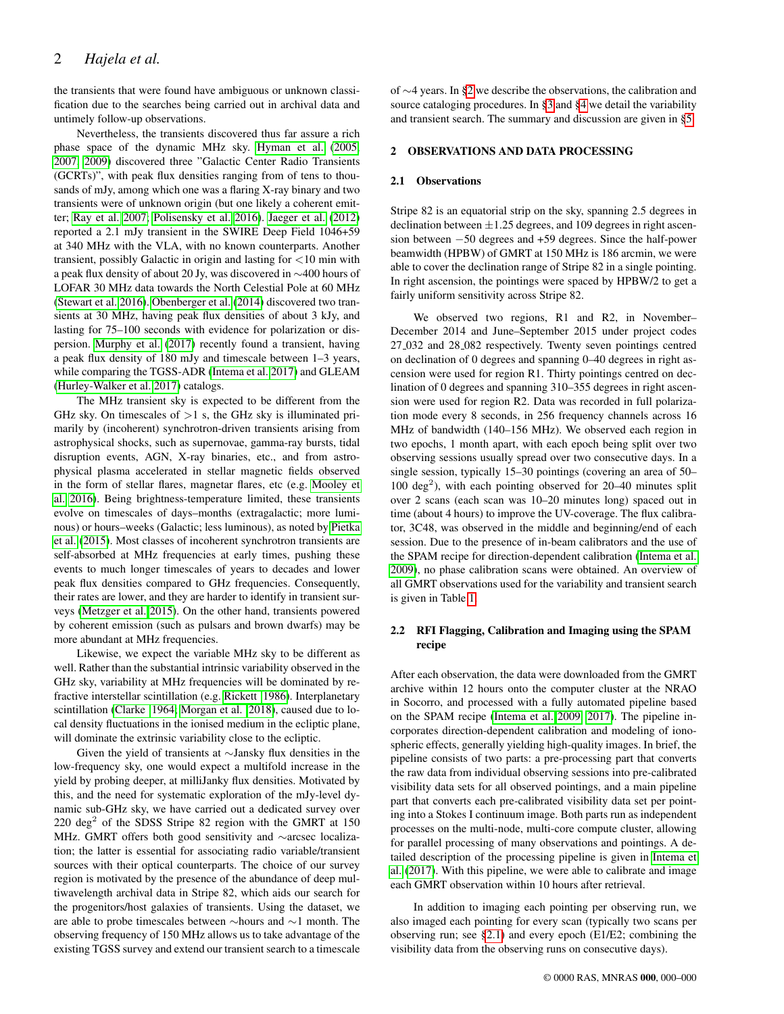the transients that were found have ambiguous or unknown classification due to the searches being carried out in archival data and untimely follow-up observations.

Nevertheless, the transients discovered thus far assure a rich phase space of the dynamic MHz sky. [Hyman et al.](#page-8-5) [\(2005,](#page-8-5) [2007,](#page-8-6) [2009\)](#page-8-7) discovered three "Galactic Center Radio Transients (GCRTs)", with peak flux densities ranging from of tens to thousands of mJy, among which one was a flaring X-ray binary and two transients were of unknown origin (but one likely a coherent emitter; [Ray et al. 2007;](#page-8-8) [Polisensky et al. 2016\)](#page-8-9). [Jaeger et al.](#page-8-10) [\(2012\)](#page-8-10) reported a 2.1 mJy transient in the SWIRE Deep Field 1046+59 at 340 MHz with the VLA, with no known counterparts. Another transient, possibly Galactic in origin and lasting for <10 min with a peak flux density of about 20 Jy, was discovered in ∼400 hours of LOFAR 30 MHz data towards the North Celestial Pole at 60 MHz [\(Stewart et al. 2016\)](#page-8-11). [Obenberger et al.](#page-8-12) [\(2014\)](#page-8-12) discovered two transients at 30 MHz, having peak flux densities of about 3 kJy, and lasting for 75–100 seconds with evidence for polarization or dispersion. [Murphy et al.](#page-8-13) [\(2017\)](#page-8-13) recently found a transient, having a peak flux density of 180 mJy and timescale between 1–3 years, while comparing the TGSS-ADR [\(Intema et al. 2017\)](#page-8-14) and GLEAM [\(Hurley-Walker et al. 2017\)](#page-7-10) catalogs.

The MHz transient sky is expected to be different from the GHz sky. On timescales of  $>1$  s, the GHz sky is illuminated primarily by (incoherent) synchrotron-driven transients arising from astrophysical shocks, such as supernovae, gamma-ray bursts, tidal disruption events, AGN, X-ray binaries, etc., and from astrophysical plasma accelerated in stellar magnetic fields observed in the form of stellar flares, magnetar flares, etc (e.g. [Mooley et](#page-8-0) [al. 2016\)](#page-8-0). Being brightness-temperature limited, these transients evolve on timescales of days–months (extragalactic; more luminous) or hours–weeks (Galactic; less luminous), as noted by [Pietka](#page-8-15) [et al.](#page-8-15) [\(2015\)](#page-8-15). Most classes of incoherent synchrotron transients are self-absorbed at MHz frequencies at early times, pushing these events to much longer timescales of years to decades and lower peak flux densities compared to GHz frequencies. Consequently, their rates are lower, and they are harder to identify in transient surveys [\(Metzger et al. 2015\)](#page-8-16). On the other hand, transients powered by coherent emission (such as pulsars and brown dwarfs) may be more abundant at MHz frequencies.

Likewise, we expect the variable MHz sky to be different as well. Rather than the substantial intrinsic variability observed in the GHz sky, variability at MHz frequencies will be dominated by refractive interstellar scintillation (e.g. [Rickett 1986\)](#page-8-17). Interplanetary scintillation [\(Clarke 1964;](#page-7-11) [Morgan et al. 2018\)](#page-8-18), caused due to local density fluctuations in the ionised medium in the ecliptic plane, will dominate the extrinsic variability close to the ecliptic.

Given the yield of transients at ∼Jansky flux densities in the low-frequency sky, one would expect a multifold increase in the yield by probing deeper, at milliJanky flux densities. Motivated by this, and the need for systematic exploration of the mJy-level dynamic sub-GHz sky, we have carried out a dedicated survey over  $220 \text{ deg}^2$  of the SDSS Stripe 82 region with the GMRT at 150 MHz. GMRT offers both good sensitivity and ∼arcsec localization; the latter is essential for associating radio variable/transient sources with their optical counterparts. The choice of our survey region is motivated by the presence of the abundance of deep multiwavelength archival data in Stripe 82, which aids our search for the progenitors/host galaxies of transients. Using the dataset, we are able to probe timescales between ∼hours and ∼1 month. The observing frequency of 150 MHz allows us to take advantage of the existing TGSS survey and extend our transient search to a timescale of ∼4 years. In [§2](#page-1-0) we describe the observations, the calibration and source cataloging procedures. In [§3](#page-2-0) and [§4](#page-3-0) we detail the variability and transient search. The summary and discussion are given in [§5.](#page-4-0)

## <span id="page-1-0"></span>2 OBSERVATIONS AND DATA PROCESSING

#### <span id="page-1-1"></span>2.1 Observations

Stripe 82 is an equatorial strip on the sky, spanning 2.5 degrees in declination between  $\pm 1.25$  degrees, and 109 degrees in right ascension between −50 degrees and +59 degrees. Since the half-power beamwidth (HPBW) of GMRT at 150 MHz is 186 arcmin, we were able to cover the declination range of Stripe 82 in a single pointing. In right ascension, the pointings were spaced by HPBW/2 to get a fairly uniform sensitivity across Stripe 82.

We observed two regions, R1 and R2, in November– December 2014 and June–September 2015 under project codes 27 032 and 28 082 respectively. Twenty seven pointings centred on declination of 0 degrees and spanning 0–40 degrees in right ascension were used for region R1. Thirty pointings centred on declination of 0 degrees and spanning 310–355 degrees in right ascension were used for region R2. Data was recorded in full polarization mode every 8 seconds, in 256 frequency channels across 16 MHz of bandwidth (140–156 MHz). We observed each region in two epochs, 1 month apart, with each epoch being split over two observing sessions usually spread over two consecutive days. In a single session, typically 15–30 pointings (covering an area of 50– 100 deg<sup>2</sup>), with each pointing observed for 20-40 minutes split over 2 scans (each scan was 10–20 minutes long) spaced out in time (about 4 hours) to improve the UV-coverage. The flux calibrator, 3C48, was observed in the middle and beginning/end of each session. Due to the presence of in-beam calibrators and the use of the SPAM recipe for direction-dependent calibration [\(Intema et al.](#page-8-19) [2009\)](#page-8-19), no phase calibration scans were obtained. An overview of all GMRT observations used for the variability and transient search is given in Table [1.](#page-2-1)

## <span id="page-1-2"></span>2.2 RFI Flagging, Calibration and Imaging using the SPAM recipe

After each observation, the data were downloaded from the GMRT archive within 12 hours onto the computer cluster at the NRAO in Socorro, and processed with a fully automated pipeline based on the SPAM recipe [\(Intema et al. 2009,](#page-8-19) [2017\)](#page-8-14). The pipeline incorporates direction-dependent calibration and modeling of ionospheric effects, generally yielding high-quality images. In brief, the pipeline consists of two parts: a pre-processing part that converts the raw data from individual observing sessions into pre-calibrated visibility data sets for all observed pointings, and a main pipeline part that converts each pre-calibrated visibility data set per pointing into a Stokes I continuum image. Both parts run as independent processes on the multi-node, multi-core compute cluster, allowing for parallel processing of many observations and pointings. A detailed description of the processing pipeline is given in [Intema et](#page-8-14) [al.](#page-8-14) [\(2017\)](#page-8-14). With this pipeline, we were able to calibrate and image each GMRT observation within 10 hours after retrieval.

In addition to imaging each pointing per observing run, we also imaged each pointing for every scan (typically two scans per observing run; see [§2.1\)](#page-1-1) and every epoch (E1/E2; combining the visibility data from the observing runs on consecutive days).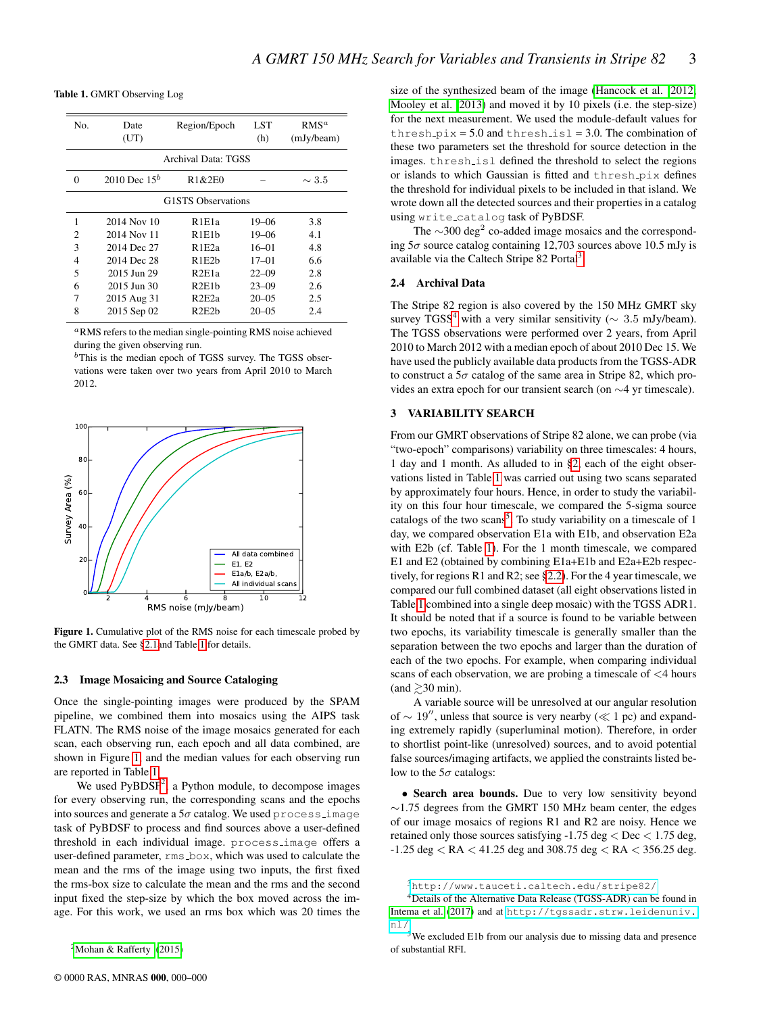Table 1. GMRT Observing Log

<span id="page-2-1"></span>

| No.                       | Date<br>(UT)    | Region/Epoch                    | LST<br>(h) | $RMS^a$<br>(mJy/beam) |  |  |  |  |  |  |
|---------------------------|-----------------|---------------------------------|------------|-----------------------|--|--|--|--|--|--|
| Archival Data: TGSS       |                 |                                 |            |                       |  |  |  |  |  |  |
| $\Omega$                  | 2010 Dec $15^b$ | R1&2E0                          |            | $\sim 3.5$            |  |  |  |  |  |  |
| <b>G1STS</b> Observations |                 |                                 |            |                       |  |  |  |  |  |  |
| 1                         | 2014 Nov 10     | R1E1a                           | $19 - 06$  | 3.8                   |  |  |  |  |  |  |
| 2                         | 2014 Nov 11     | R1E1b                           | 19–06      | 4.1                   |  |  |  |  |  |  |
| 3                         | 2014 Dec 27     | R1E2a                           | $16 - 01$  | 4.8                   |  |  |  |  |  |  |
| 4                         | 2014 Dec 28     | R1E2h                           | $17 - 01$  | 6.6                   |  |  |  |  |  |  |
| 5                         | 2015 Jun 29     | R2E1a                           | $22 - 09$  | 2.8                   |  |  |  |  |  |  |
| 6                         | 2015 Jun 30     | R2E1h                           | $23 - 09$  | 2.6                   |  |  |  |  |  |  |
| 7                         | 2015 Aug 31     | R <sub>2</sub> E <sub>2a</sub>  | $20 - 0.5$ | 2.5                   |  |  |  |  |  |  |
| 8                         | 2015 Sep 02     | R <sub>2</sub> E <sub>2</sub> h | $20 - 0.5$ | 2.4                   |  |  |  |  |  |  |

<sup>a</sup>RMS refers to the median single-pointing RMS noise achieved during the given observing run.

 $<sup>b</sup>$ This is the median epoch of TGSS survey. The TGSS obser-</sup> vations were taken over two years from April 2010 to March 2012.



<span id="page-2-2"></span>Figure 1. Cumulative plot of the RMS noise for each timescale probed by the GMRT data. See [§2.1a](#page-1-1)nd Table [1](#page-2-1) for details.

### 2.3 Image Mosaicing and Source Cataloging

Once the single-pointing images were produced by the SPAM pipeline, we combined them into mosaics using the AIPS task FLATN. The RMS noise of the image mosaics generated for each scan, each observing run, each epoch and all data combined, are shown in Figure [1,](#page-2-2) and the median values for each observing run are reported in Table [1.](#page-2-1)

We used  $PyBDSF<sup>2</sup>$  $PyBDSF<sup>2</sup>$  $PyBDSF<sup>2</sup>$ , a Python module, to decompose images for every observing run, the corresponding scans and the epochs into sources and generate a  $5\sigma$  catalog. We used process image task of PyBDSF to process and find sources above a user-defined threshold in each individual image. process image offers a user-defined parameter, rms box, which was used to calculate the mean and the rms of the image using two inputs, the first fixed the rms-box size to calculate the mean and the rms and the second input fixed the step-size by which the box moved across the image. For this work, we used an rms box which was 20 times the size of the synthesized beam of the image [\(Hancock et al. 2012;](#page-7-12) [Mooley et al. 2013\)](#page-8-21) and moved it by 10 pixels (i.e. the step-size) for the next measurement. We used the module-default values for thresh  $pix = 5.0$  and thresh is  $1 = 3.0$ . The combination of these two parameters set the threshold for source detection in the images. thresh isl defined the threshold to select the regions or islands to which Gaussian is fitted and thresh pix defines the threshold for individual pixels to be included in that island. We wrote down all the detected sources and their properties in a catalog using write catalog task of PyBDSF.

The  $\sim$ 300 deg<sup>2</sup> co-added image mosaics and the corresponding  $5\sigma$  source catalog containing 12,703 sources above 10.5 mJy is available via the Caltech Stripe 82 Portal<sup>[3](#page-2-4)</sup>.

## 2.4 Archival Data

The Stripe 82 region is also covered by the 150 MHz GMRT sky survey TGSS<sup>[4](#page-2-5)</sup> with a very similar sensitivity ( $\sim 3.5$  mJy/beam). The TGSS observations were performed over 2 years, from April 2010 to March 2012 with a median epoch of about 2010 Dec 15. We have used the publicly available data products from the TGSS-ADR to construct a  $5\sigma$  catalog of the same area in Stripe 82, which provides an extra epoch for our transient search (on ∼4 yr timescale).

## <span id="page-2-0"></span>3 VARIABILITY SEARCH

From our GMRT observations of Stripe 82 alone, we can probe (via "two-epoch" comparisons) variability on three timescales: 4 hours, 1 day and 1 month. As alluded to in [§2,](#page-1-0) each of the eight observations listed in Table [1](#page-2-1) was carried out using two scans separated by approximately four hours. Hence, in order to study the variability on this four hour timescale, we compared the 5-sigma source catalogs of the two scans<sup>[5](#page-2-6)</sup>. To study variability on a timescale of 1 day, we compared observation E1a with E1b, and observation E2a with E2b (cf. Table [1\)](#page-2-1). For the 1 month timescale, we compared E1 and E2 (obtained by combining E1a+E1b and E2a+E2b respectively, for regions R1 and R2; see [§2.2\)](#page-1-2). For the 4 year timescale, we compared our full combined dataset (all eight observations listed in Table [1](#page-2-1) combined into a single deep mosaic) with the TGSS ADR1. It should be noted that if a source is found to be variable between two epochs, its variability timescale is generally smaller than the separation between the two epochs and larger than the duration of each of the two epochs. For example, when comparing individual scans of each observation, we are probing a timescale of <4 hours  $\text{(and } \geq 30 \text{ min}.$ 

A variable source will be unresolved at our angular resolution of  $\sim 19''$ , unless that source is very nearby ( $\ll 1$  pc) and expanding extremely rapidly (superluminal motion). Therefore, in order to shortlist point-like (unresolved) sources, and to avoid potential false sources/imaging artifacts, we applied the constraints listed below to the  $5\sigma$  catalogs:

• Search area bounds. Due to very low sensitivity beyond ∼1.75 degrees from the GMRT 150 MHz beam center, the edges of our image mosaics of regions R1 and R2 are noisy. Hence we retained only those sources satisfying -1.75 deg  $<$  Dec  $<$  1.75 deg, -1.25 deg < RA < 41.25 deg and 308.75 deg < RA < 356.25 deg.

<span id="page-2-5"></span><span id="page-2-4"></span><sup>3</sup><http://www.tauceti.caltech.edu/stripe82/>

<span id="page-2-3"></span><sup>&</sup>lt;sup>2</sup>[Mohan & Rafferty](#page-8-20)  $(2015)$ 

<sup>4</sup>Details of the Alternative Data Release (TGSS-ADR) can be found in [Intema et al.](#page-8-14) [\(2017\)](#page-8-14) and at [http://tgssadr.strw.leidenuniv.](http://tgssadr.strw.leidenuniv.nl/) [nl/](http://tgssadr.strw.leidenuniv.nl/)

<span id="page-2-6"></span><sup>5</sup>We excluded E1b from our analysis due to missing data and presence of substantial RFI.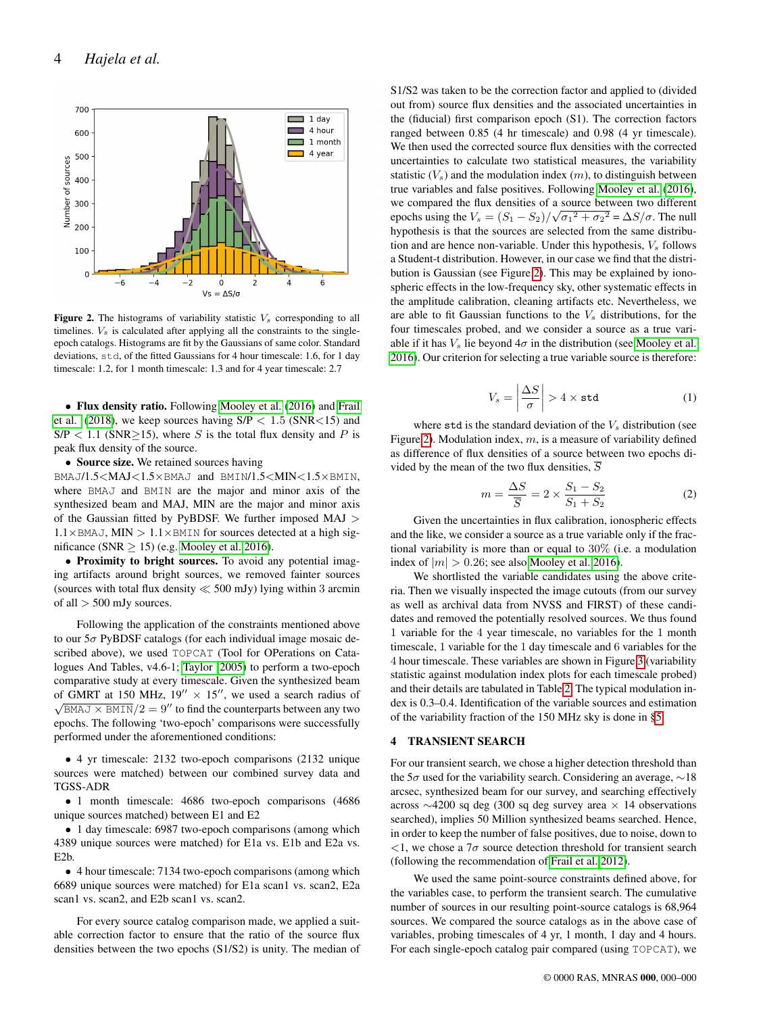

<span id="page-3-1"></span>Figure 2. The histograms of variability statistic  $V_s$  corresponding to all timelines.  $V_s$  is calculated after applying all the constraints to the singleepoch catalogs. Histograms are fit by the Gaussians of same color. Standard deviations, std, of the fitted Gaussians for 4 hour timescale: 1.6, for 1 day timescale: 1.2, for 1 month timescale: 1.3 and for 4 year timescale: 2.7

• Flux density ratio. Following [Mooley et al.](#page-8-0) [\(2016\)](#page-8-0) and [Frail](#page-7-13) [et al.](#page-7-13) [\(2018\)](#page-7-13), we keep sources having  $S/P < 1.5$  (SNR<15) and  $S/P < 1.1$  (SNR $\geq$ 15), where S is the total flux density and P is peak flux density of the source.

• Source size. We retained sources having

BMAJ/1.5<MAJ<1.5×BMAJ and BMIN/1.5<MIN<1.5×BMIN, where BMAJ and BMIN are the major and minor axis of the synthesized beam and MAJ, MIN are the major and minor axis of the Gaussian fitted by PyBDSF. We further imposed MAJ >  $1.1\times$ BMAJ, MIN >  $1.1\times$ BMIN for sources detected at a high significance (SNR  $\geq$  15) (e.g. [Mooley et al. 2016\)](#page-8-0).

• Proximity to bright sources. To avoid any potential imaging artifacts around bright sources, we removed fainter sources (sources with total flux density  $\ll$  500 mJy) lying within 3 arcmin of all > 500 mJy sources.

Following the application of the constraints mentioned above to our  $5\sigma$  PyBDSF catalogs (for each individual image mosaic described above), we used TOPCAT (Tool for OPerations on Catalogues And Tables, v4.6-1; [Taylor 2005\)](#page-8-22) to perform a two-epoch comparative study at every timescale. Given the synthesized beam of GMRT at 150 MHz,  $19'' \times 15''$ , we used a search radius of  $\sqrt{\text{BMAJ} \times \text{BMIN}}/2 = 9''$  to find the counterparts between any two epochs. The following 'two-epoch' comparisons were successfully performed under the aforementioned conditions:

• 4 yr timescale: 2132 two-epoch comparisons (2132 unique sources were matched) between our combined survey data and TGSS-ADR

• 1 month timescale: 4686 two-epoch comparisons (4686 unique sources matched) between E1 and E2

• 1 day timescale: 6987 two-epoch comparisons (among which 4389 unique sources were matched) for E1a vs. E1b and E2a vs. E2b.

• 4 hour timescale: 7134 two-epoch comparisons (among which 6689 unique sources were matched) for E1a scan1 vs. scan2, E2a scan1 vs. scan2, and E2b scan1 vs. scan2.

For every source catalog comparison made, we applied a suitable correction factor to ensure that the ratio of the source flux densities between the two epochs (S1/S2) is unity. The median of

S1/S2 was taken to be the correction factor and applied to (divided out from) source flux densities and the associated uncertainties in the (fiducial) first comparison epoch (S1). The correction factors ranged between 0.85 (4 hr timescale) and 0.98 (4 yr timescale). We then used the corrected source flux densities with the corrected uncertainties to calculate two statistical measures, the variability statistic  $(V_s)$  and the modulation index  $(m)$ , to distinguish between true variables and false positives. Following [Mooley et al.](#page-8-0) [\(2016\)](#page-8-0), we compared the flux densities of a source between two different epochs using the  $V_s = (S_1 - S_2)/\sqrt{\sigma_1^2 + \sigma_2^2} = \Delta S/\sigma$ . The null hypothesis is that the sources are selected from the same distribution and are hence non-variable. Under this hypothesis,  $V_s$  follows a Student-t distribution. However, in our case we find that the distribution is Gaussian (see Figure [2\)](#page-3-1). This may be explained by ionospheric effects in the low-frequency sky, other systematic effects in the amplitude calibration, cleaning artifacts etc. Nevertheless, we are able to fit Gaussian functions to the  $V_s$  distributions, for the four timescales probed, and we consider a source as a true variable if it has  $V_s$  lie beyond  $4\sigma$  in the distribution (see [Mooley et al.](#page-8-0) [2016\)](#page-8-0). Our criterion for selecting a true variable source is therefore:

$$
V_s = \left| \frac{\Delta S}{\sigma} \right| > 4 \times \text{std} \tag{1}
$$

where  $\text{std}$  is the standard deviation of the  $V_s$  distribution (see Figure [2\)](#page-3-1). Modulation index,  $m$ , is a measure of variability defined as difference of flux densities of a source between two epochs divided by the mean of the two flux densities,  $\overline{S}$ 

$$
m = \frac{\Delta S}{\overline{S}} = 2 \times \frac{S_1 - S_2}{S_1 + S_2}
$$
 (2)

Given the uncertainties in flux calibration, ionospheric effects and the like, we consider a source as a true variable only if the fractional variability is more than or equal to 30% (i.e. a modulation index of  $|m| > 0.26$ ; see also [Mooley et al. 2016\)](#page-8-0).

We shortlisted the variable candidates using the above criteria. Then we visually inspected the image cutouts (from our survey as well as archival data from NVSS and FIRST) of these candidates and removed the potentially resolved sources. We thus found 1 variable for the 4 year timescale, no variables for the 1 month timescale, 1 variable for the 1 day timescale and 6 variables for the 4 hour timescale. These variables are shown in Figure [3](#page-4-1) (variability statistic against modulation index plots for each timescale probed) and their details are tabulated in Table [2.](#page-8-23) The typical modulation index is 0.3–0.4. Identification of the variable sources and estimation of the variability fraction of the 150 MHz sky is done in [§5.](#page-4-0)

# <span id="page-3-0"></span>4 TRANSIENT SEARCH

For our transient search, we chose a higher detection threshold than the 5 $\sigma$  used for the variability search. Considering an average,  $\sim$ 18 arcsec, synthesized beam for our survey, and searching effectively across ∼4200 sq deg (300 sq deg survey area × 14 observations searched), implies 50 Million synthesized beams searched. Hence, in order to keep the number of false positives, due to noise, down to  $\langle 1$ , we chose a  $7\sigma$  source detection threshold for transient search (following the recommendation of [Frail et al. 2012\)](#page-7-0).

We used the same point-source constraints defined above, for the variables case, to perform the transient search. The cumulative number of sources in our resulting point-source catalogs is 68,964 sources. We compared the source catalogs as in the above case of variables, probing timescales of 4 yr, 1 month, 1 day and 4 hours. For each single-epoch catalog pair compared (using TOPCAT), we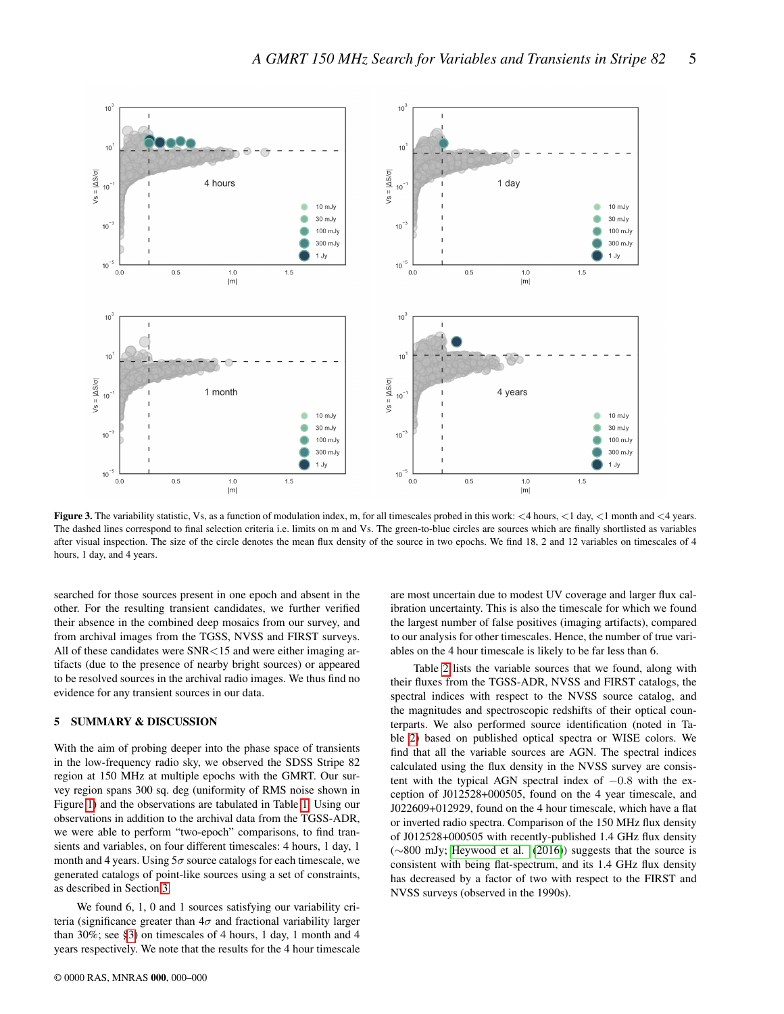

<span id="page-4-1"></span>Figure 3. The variability statistic, Vs, as a function of modulation index, m, for all timescales probed in this work:  $\lt 4$  hours,  $\lt 1$  day,  $\lt 1$  month and  $\lt 4$  years. The dashed lines correspond to final selection criteria i.e. limits on m and Vs. The green-to-blue circles are sources which are finally shortlisted as variables after visual inspection. The size of the circle denotes the mean flux density of the source in two epochs. We find 18, 2 and 12 variables on timescales of 4 hours, 1 day, and 4 years.

searched for those sources present in one epoch and absent in the other. For the resulting transient candidates, we further verified their absence in the combined deep mosaics from our survey, and from archival images from the TGSS, NVSS and FIRST surveys. All of these candidates were SNR<15 and were either imaging artifacts (due to the presence of nearby bright sources) or appeared to be resolved sources in the archival radio images. We thus find no evidence for any transient sources in our data.

## <span id="page-4-0"></span>5 SUMMARY & DISCUSSION

With the aim of probing deeper into the phase space of transients in the low-frequency radio sky, we observed the SDSS Stripe 82 region at 150 MHz at multiple epochs with the GMRT. Our survey region spans 300 sq. deg (uniformity of RMS noise shown in Figure [1\)](#page-2-2) and the observations are tabulated in Table [1.](#page-2-1) Using our observations in addition to the archival data from the TGSS-ADR, we were able to perform "two-epoch" comparisons, to find transients and variables, on four different timescales: 4 hours, 1 day, 1 month and 4 years. Using  $5\sigma$  source catalogs for each timescale, we generated catalogs of point-like sources using a set of constraints, as described in Section [3.](#page-2-0)

We found 6, 1, 0 and 1 sources satisfying our variability criteria (significance greater than  $4\sigma$  and fractional variability larger than 30%; see [§3\)](#page-2-0) on timescales of 4 hours, 1 day, 1 month and 4 years respectively. We note that the results for the 4 hour timescale

are most uncertain due to modest UV coverage and larger flux calibration uncertainty. This is also the timescale for which we found the largest number of false positives (imaging artifacts), compared to our analysis for other timescales. Hence, the number of true variables on the 4 hour timescale is likely to be far less than 6.

Table [2](#page-8-23) lists the variable sources that we found, along with their fluxes from the TGSS-ADR, NVSS and FIRST catalogs, the spectral indices with respect to the NVSS source catalog, and the magnitudes and spectroscopic redshifts of their optical counterparts. We also performed source identification (noted in Table [2\)](#page-8-23) based on published optical spectra or WISE colors. We find that all the variable sources are AGN. The spectral indices calculated using the flux density in the NVSS survey are consistent with the typical AGN spectral index of  $-0.8$  with the exception of J012528+000505, found on the 4 year timescale, and J022609+012929, found on the 4 hour timescale, which have a flat or inverted radio spectra. Comparison of the 150 MHz flux density of J012528+000505 with recently-published 1.4 GHz flux density (∼800 mJy; [Heywood et al.](#page-7-14) [\(2016\)](#page-7-14)) suggests that the source is consistent with being flat-spectrum, and its 1.4 GHz flux density has decreased by a factor of two with respect to the FIRST and NVSS surveys (observed in the 1990s).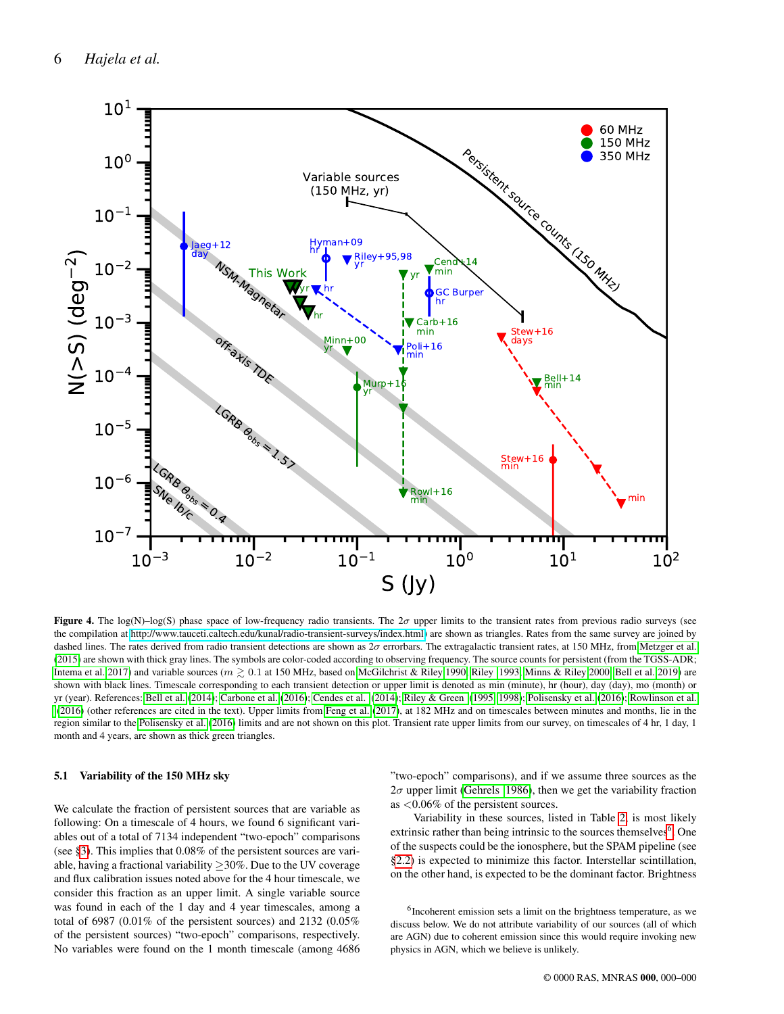

<span id="page-5-1"></span>Figure 4. The log(N)–log(S) phase space of low-frequency radio transients. The  $2\sigma$  upper limits to the transient rates from previous radio surveys (see the compilation at [http://www.tauceti.caltech.edu/kunal/radio-transient-surveys/index.html\)](http://www.tauceti.caltech.edu/kunal/radio-transient-surveys/index.html) are shown as triangles. Rates from the same survey are joined by dashed lines. The rates derived from radio transient detections are shown as  $2\sigma$  errorbars. The extragalactic transient rates, at 150 MHz, from [Metzger et al.](#page-8-16) [\(2015\)](#page-8-16) are shown with thick gray lines. The symbols are color-coded according to observing frequency. The source counts for persistent (from the TGSS-ADR; [Intema et al. 2017\)](#page-8-14) and variable sources ( $m \geq 0.1$  at 150 MHz, based on [McGilchrist & Riley 1990;](#page-8-24) [Riley 1993;](#page-8-25) [Minns & Riley 2000;](#page-8-26) [Bell et al. 2019\)](#page-7-15) are shown with black lines. Timescale corresponding to each transient detection or upper limit is denoted as min (minute), hr (hour), day (day), mo (month) or yr (year). References: [Bell et al.](#page-7-16) [\(2014\)](#page-7-16); [Carbone et al.](#page-7-17) [\(2016\)](#page-7-17); [Cendes et al.](#page-7-18) [\(2014\)](#page-7-18); [Riley & Green](#page-8-27) [\(1995,](#page-8-27) [1998\)](#page-8-28); [Polisensky et al.](#page-8-9) [\(2016\)](#page-8-9); [Rowlinson et al.](#page-8-29) [\(2016\)](#page-8-29) (other references are cited in the text). Upper limits from [Feng et al.](#page-7-19) [\(2017\)](#page-7-19), at 182 MHz and on timescales between minutes and months, lie in the region similar to the [Polisensky et al.](#page-8-9) [\(2016\)](#page-8-9) limits and are not shown on this plot. Transient rate upper limits from our survey, on timescales of 4 hr, 1 day, 1 month and 4 years, are shown as thick green triangles.

### 5.1 Variability of the 150 MHz sky

We calculate the fraction of persistent sources that are variable as following: On a timescale of 4 hours, we found 6 significant variables out of a total of 7134 independent "two-epoch" comparisons (see [§3\)](#page-2-0). This implies that 0.08% of the persistent sources are variable, having a fractional variability ≥30%. Due to the UV coverage and flux calibration issues noted above for the 4 hour timescale, we consider this fraction as an upper limit. A single variable source was found in each of the 1 day and 4 year timescales, among a total of 6987 (0.01% of the persistent sources) and 2132 (0.05% of the persistent sources) "two-epoch" comparisons, respectively. No variables were found on the 1 month timescale (among 4686 "two-epoch" comparisons), and if we assume three sources as the  $2\sigma$  upper limit [\(Gehrels 1986\)](#page-7-20), then we get the variability fraction as <0.06% of the persistent sources.

Variability in these sources, listed in Table [2,](#page-8-23) is most likely extrinsic rather than being intrinsic to the sources themselves<sup>[6](#page-5-0)</sup>. One of the suspects could be the ionosphere, but the SPAM pipeline (see [§2.2\)](#page-1-2) is expected to minimize this factor. Interstellar scintillation, on the other hand, is expected to be the dominant factor. Brightness

<span id="page-5-0"></span>6 Incoherent emission sets a limit on the brightness temperature, as we discuss below. We do not attribute variability of our sources (all of which are AGN) due to coherent emission since this would require invoking new physics in AGN, which we believe is unlikely.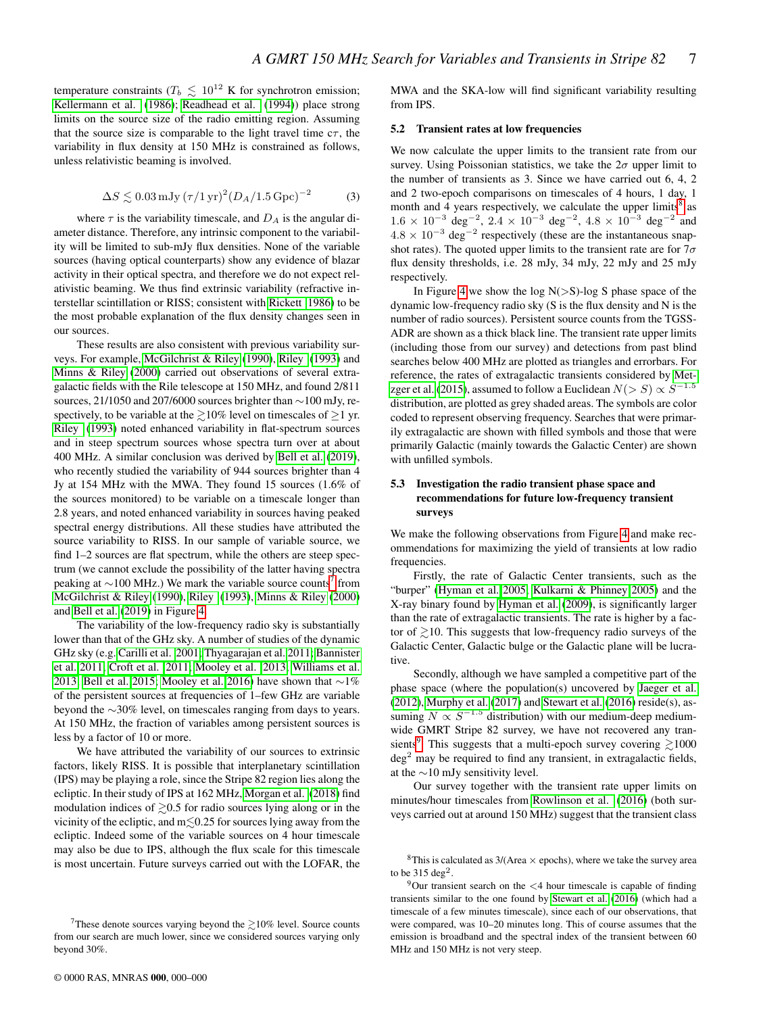temperature constraints ( $T_b \leq 10^{12}$  K for synchrotron emission; [Kellermann et al.](#page-8-30) [\(1986\)](#page-8-30); [Readhead et al.](#page-8-31) [\(1994\)](#page-8-31)) place strong limits on the source size of the radio emitting region. Assuming that the source size is comparable to the light travel time  $c\tau$ , the variability in flux density at 150 MHz is constrained as follows, unless relativistic beaming is involved.

$$
\Delta S \lesssim 0.03 \,\mathrm{mJy} \, (\tau / 1 \,\mathrm{yr})^2 (D_A / 1.5 \,\mathrm{Gpc})^{-2} \tag{3}
$$

where  $\tau$  is the variability timescale, and  $D_A$  is the angular diameter distance. Therefore, any intrinsic component to the variability will be limited to sub-mJy flux densities. None of the variable sources (having optical counterparts) show any evidence of blazar activity in their optical spectra, and therefore we do not expect relativistic beaming. We thus find extrinsic variability (refractive interstellar scintillation or RISS; consistent with [Rickett 1986\)](#page-8-17) to be the most probable explanation of the flux density changes seen in our sources.

These results are also consistent with previous variability surveys. For example, [McGilchrist & Riley](#page-8-24) [\(1990\)](#page-8-24), [Riley](#page-8-25) [\(1993\)](#page-8-25) and [Minns & Riley](#page-8-26) [\(2000\)](#page-8-26) carried out observations of several extragalactic fields with the Rile telescope at 150 MHz, and found 2/811 sources, 21/1050 and 207/6000 sources brighter than ∼100 mJy, respectively, to be variable at the  $\geq 10\%$  level on timescales of  $\geq 1$  yr. [Riley](#page-8-25) [\(1993\)](#page-8-25) noted enhanced variability in flat-spectrum sources and in steep spectrum sources whose spectra turn over at about 400 MHz. A similar conclusion was derived by [Bell et al.](#page-7-15) [\(2019\)](#page-7-15), who recently studied the variability of 944 sources brighter than 4 Jy at 154 MHz with the MWA. They found 15 sources (1.6% of the sources monitored) to be variable on a timescale longer than 2.8 years, and noted enhanced variability in sources having peaked spectral energy distributions. All these studies have attributed the source variability to RISS. In our sample of variable source, we find 1–2 sources are flat spectrum, while the others are steep spectrum (we cannot exclude the possibility of the latter having spectra peaking at  $\sim$ 100 MHz.) We mark the variable source counts<sup>[7](#page-6-0)</sup> from [McGilchrist & Riley](#page-8-24) [\(1990\)](#page-8-24), [Riley](#page-8-25) [\(1993\)](#page-8-25), [Minns & Riley](#page-8-26) [\(2000\)](#page-8-26) and [Bell et al.](#page-7-15) [\(2019\)](#page-7-15) in Figure [4.](#page-5-1)

The variability of the low-frequency radio sky is substantially lower than that of the GHz sky. A number of studies of the dynamic GHz sky (e.g. [Carilli et al. 2001;](#page-7-21) [Thyagarajan et al. 2011;](#page-8-1) [Bannister](#page-7-5) [et al. 2011;](#page-7-5) [Croft et al. 2011;](#page-7-22) [Mooley et al. 2013;](#page-8-21) [Williams et al.](#page-8-3) [2013;](#page-8-3) [Bell et al. 2015;](#page-7-6) [Mooley et al. 2016\)](#page-8-0) have shown that ∼1% of the persistent sources at frequencies of 1–few GHz are variable beyond the ∼30% level, on timescales ranging from days to years. At 150 MHz, the fraction of variables among persistent sources is less by a factor of 10 or more.

We have attributed the variability of our sources to extrinsic factors, likely RISS. It is possible that interplanetary scintillation (IPS) may be playing a role, since the Stripe 82 region lies along the ecliptic. In their study of IPS at 162 MHz, [Morgan et al.](#page-8-18) [\(2018\)](#page-8-18) find modulation indices of  $\geq 0.5$  for radio sources lying along or in the vicinity of the ecliptic, and  $m \leq 0.25$  for sources lying away from the ecliptic. Indeed some of the variable sources on 4 hour timescale may also be due to IPS, although the flux scale for this timescale is most uncertain. Future surveys carried out with the LOFAR, the MWA and the SKA-low will find significant variability resulting from IPS.

#### 5.2 Transient rates at low frequencies

We now calculate the upper limits to the transient rate from our survey. Using Poissonian statistics, we take the  $2\sigma$  upper limit to the number of transients as 3. Since we have carried out 6, 4, 2 and 2 two-epoch comparisons on timescales of 4 hours, 1 day, 1 month and 4 years respectively, we calculate the upper limits<sup>[8](#page-6-1)</sup> as  $1.6 \times 10^{-3}$  deg<sup>-2</sup>,  $2.4 \times 10^{-3}$  deg<sup>-2</sup>,  $4.8 \times 10^{-3}$  deg<sup>-2</sup> and  $4.8 \times 10^{-3}$  deg<sup>-2</sup> respectively (these are the instantaneous snapshot rates). The quoted upper limits to the transient rate are for  $7\sigma$ flux density thresholds, i.e. 28 mJy, 34 mJy, 22 mJy and 25 mJy respectively.

In Figure [4](#page-5-1) we show the log  $N(>S)$ -log S phase space of the dynamic low-frequency radio sky (S is the flux density and N is the number of radio sources). Persistent source counts from the TGSS-ADR are shown as a thick black line. The transient rate upper limits (including those from our survey) and detections from past blind searches below 400 MHz are plotted as triangles and errorbars. For reference, the rates of extragalactic transients considered by [Met](#page-8-16)[zger et al.](#page-8-16) [\(2015\)](#page-8-16), assumed to follow a Euclidean  $N(>S) \propto S^{-1.5}$ distribution, are plotted as grey shaded areas. The symbols are color coded to represent observing frequency. Searches that were primarily extragalactic are shown with filled symbols and those that were primarily Galactic (mainly towards the Galactic Center) are shown with unfilled symbols.

# 5.3 Investigation the radio transient phase space and recommendations for future low-frequency transient surveys

We make the following observations from Figure [4](#page-5-1) and make recommendations for maximizing the yield of transients at low radio frequencies.

Firstly, the rate of Galactic Center transients, such as the "burper" [\(Hyman et al. 2005;](#page-8-5) [Kulkarni & Phinney 2005\)](#page-8-32) and the X-ray binary found by [Hyman et al.](#page-8-7) [\(2009\)](#page-8-7), is significantly larger than the rate of extragalactic transients. The rate is higher by a factor of  $\geq 10$ . This suggests that low-frequency radio surveys of the Galactic Center, Galactic bulge or the Galactic plane will be lucrative.

Secondly, although we have sampled a competitive part of the phase space (where the population(s) uncovered by [Jaeger et al.](#page-8-10) [\(2012\)](#page-8-10), [Murphy et al.](#page-8-13) [\(2017\)](#page-8-13) and [Stewart et al.](#page-8-11) [\(2016\)](#page-8-11) reside(s), assuming  $N \propto S^{-1.5}$  distribution) with our medium-deep mediumwide GMRT Stripe 82 survey, we have not recovered any tran-sients<sup>[9](#page-6-2)</sup>. This suggests that a multi-epoch survey covering  $\gtrsim$  1000  $\text{deg}^2$  may be required to find any transient, in extragalactic fields, at the ∼10 mJy sensitivity level.

Our survey together with the transient rate upper limits on minutes/hour timescales from [Rowlinson et al.](#page-8-29) [\(2016\)](#page-8-29) (both surveys carried out at around 150 MHz) suggest that the transient class

<span id="page-6-0"></span><sup>&</sup>lt;sup>7</sup>These denote sources varying beyond the  $\gtrsim$ 10% level. Source counts from our search are much lower, since we considered sources varying only beyond 30%.

<span id="page-6-1"></span><sup>&</sup>lt;sup>8</sup>This is calculated as 3/(Area  $\times$  epochs), where we take the survey area to be  $315 \text{ deg}^2$ .

<span id="page-6-2"></span> $9$ Our transient search on the  $\lt 4$  hour timescale is capable of finding transients similar to the one found by [Stewart et al.](#page-8-11) [\(2016\)](#page-8-11) (which had a timescale of a few minutes timescale), since each of our observations, that were compared, was 10–20 minutes long. This of course assumes that the emission is broadband and the spectral index of the transient between 60 MHz and 150 MHz is not very steep.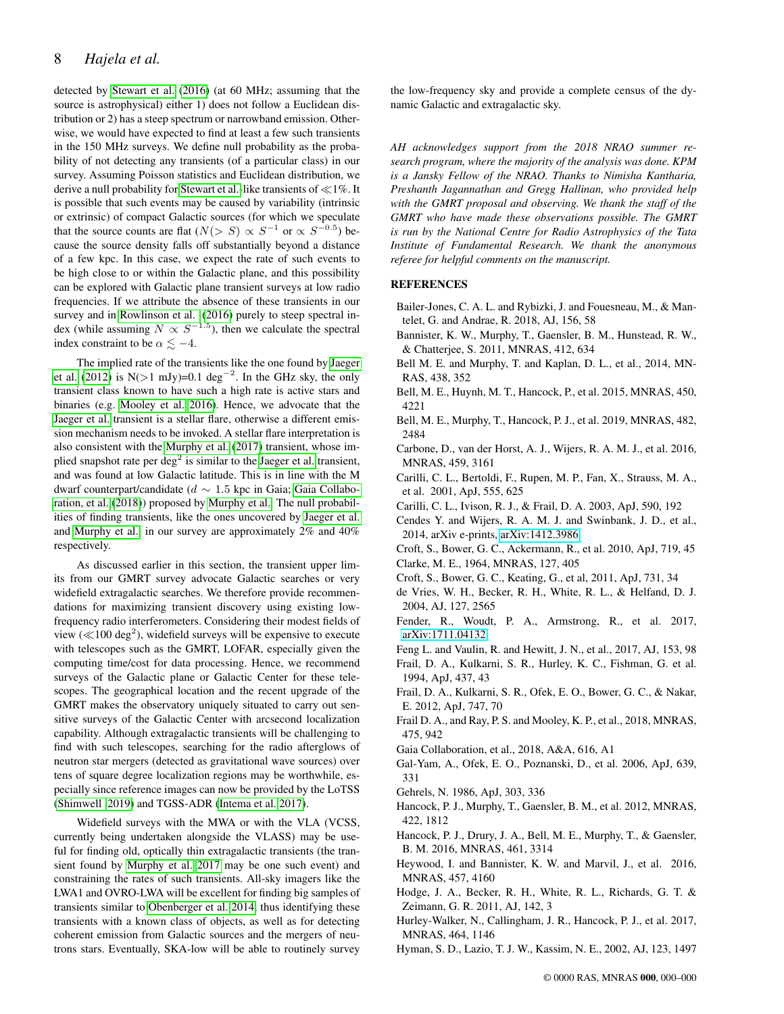detected by [Stewart et al.](#page-8-11) [\(2016\)](#page-8-11) (at 60 MHz; assuming that the source is astrophysical) either 1) does not follow a Euclidean distribution or 2) has a steep spectrum or narrowband emission. Otherwise, we would have expected to find at least a few such transients in the 150 MHz surveys. We define null probability as the probability of not detecting any transients (of a particular class) in our survey. Assuming Poisson statistics and Euclidean distribution, we derive a null probability for [Stewart et al.-](#page-8-11)like transients of  $\ll$ 1%. It is possible that such events may be caused by variability (intrinsic or extrinsic) of compact Galactic sources (for which we speculate that the source counts are flat  $(N(> S) \propto S^{-1}$  or  $\propto S^{-0.5}$ ) because the source density falls off substantially beyond a distance of a few kpc. In this case, we expect the rate of such events to be high close to or within the Galactic plane, and this possibility can be explored with Galactic plane transient surveys at low radio frequencies. If we attribute the absence of these transients in our survey and in [Rowlinson et al.](#page-8-29) [\(2016\)](#page-8-29) purely to steep spectral index (while assuming  $N \propto S^{-1.5}$ ), then we calculate the spectral index constraint to be  $\alpha \leq -4$ .

The implied rate of the transients like the one found by [Jaeger](#page-8-10) [et al.](#page-8-10) [\(2012\)](#page-8-10) is N(>1 mJy)=0.1 deg<sup>-2</sup>. In the GHz sky, the only transient class known to have such a high rate is active stars and binaries (e.g. [Mooley et al. 2016\)](#page-8-0). Hence, we advocate that the [Jaeger et al.](#page-8-10) transient is a stellar flare, otherwise a different emission mechanism needs to be invoked. A stellar flare interpretation is also consistent with the [Murphy et al.](#page-8-13) [\(2017\)](#page-8-13) transient, whose implied snapshot rate per  $\deg^2$  is similar to the [Jaeger et al.](#page-8-10) transient, and was found at low Galactic latitude. This is in line with the M dwarf counterpart/candidate ( $d \sim 1.5$  kpc in Gaia; [Gaia Collabo](#page-7-23)[ration, et al.](#page-7-23) [\(2018\)](#page-7-23)) proposed by [Murphy et al..](#page-8-13) The null probabilities of finding transients, like the ones uncovered by [Jaeger et al.](#page-8-10) and [Murphy et al.,](#page-8-13) in our survey are approximately 2% and 40% respectively.

As discussed earlier in this section, the transient upper limits from our GMRT survey advocate Galactic searches or very widefield extragalactic searches. We therefore provide recommendations for maximizing transient discovery using existing lowfrequency radio interferometers. Considering their modest fields of view ( $\ll$ 100 deg<sup>2</sup>), widefield surveys will be expensive to execute with telescopes such as the GMRT, LOFAR, especially given the computing time/cost for data processing. Hence, we recommend surveys of the Galactic plane or Galactic Center for these telescopes. The geographical location and the recent upgrade of the GMRT makes the observatory uniquely situated to carry out sensitive surveys of the Galactic Center with arcsecond localization capability. Although extragalactic transients will be challenging to find with such telescopes, searching for the radio afterglows of neutron star mergers (detected as gravitational wave sources) over tens of square degree localization regions may be worthwhile, especially since reference images can now be provided by the LoTSS [\(Shimwell 2019\)](#page-8-33) and TGSS-ADR [\(Intema et al. 2017\)](#page-8-14).

Widefield surveys with the MWA or with the VLA (VCSS, currently being undertaken alongside the VLASS) may be useful for finding old, optically thin extragalactic transients (the transient found by [Murphy et al. 2017](#page-8-13) may be one such event) and constraining the rates of such transients. All-sky imagers like the LWA1 and OVRO-LWA will be excellent for finding big samples of transients similar to [Obenberger et al. 2014,](#page-8-12) thus identifying these transients with a known class of objects, as well as for detecting coherent emission from Galactic sources and the mergers of neutrons stars. Eventually, SKA-low will be able to routinely survey the low-frequency sky and provide a complete census of the dynamic Galactic and extragalactic sky.

*AH acknowledges support from the 2018 NRAO summer research program, where the majority of the analysis was done. KPM is a Jansky Fellow of the NRAO. Thanks to Nimisha Kantharia, Preshanth Jagannathan and Gregg Hallinan, who provided help with the GMRT proposal and observing. We thank the staff of the GMRT who have made these observations possible. The GMRT is run by the National Centre for Radio Astrophysics of the Tata Institute of Fundamental Research. We thank the anonymous referee for helpful comments on the manuscript.*

## **REFERENCES**

- Bailer-Jones, C. A. L. and Rybizki, J. and Fouesneau, M., & Mantelet, G. and Andrae, R. 2018, AJ, 156, 58
- <span id="page-7-5"></span>Bannister, K. W., Murphy, T., Gaensler, B. M., Hunstead, R. W., & Chatterjee, S. 2011, MNRAS, 412, 634
- <span id="page-7-16"></span>Bell M. E. and Murphy, T. and Kaplan, D. L., et al., 2014, MN-RAS, 438, 352
- <span id="page-7-6"></span>Bell, M. E., Huynh, M. T., Hancock, P., et al. 2015, MNRAS, 450, 4221
- <span id="page-7-15"></span>Bell, M. E., Murphy, T., Hancock, P. J., et al. 2019, MNRAS, 482, 2484
- <span id="page-7-17"></span>Carbone, D., van der Horst, A. J., Wijers, R. A. M. J., et al. 2016, MNRAS, 459, 3161
- <span id="page-7-21"></span>Carilli, C. L., Bertoldi, F., Rupen, M. P., Fan, X., Strauss, M. A., et al. 2001, ApJ, 555, 625
- <span id="page-7-2"></span>Carilli, C. L., Ivison, R. J., & Frail, D. A. 2003, ApJ, 590, 192
- <span id="page-7-18"></span>Cendes Y. and Wijers, R. A. M. J. and Swinbank, J. D., et al., 2014, arXiv e-prints, [arXiv:1412.3986](http://arxiv.org/abs/1412.3986)
- <span id="page-7-11"></span><span id="page-7-4"></span>Croft, S., Bower, G. C., Ackermann, R., et al. 2010, ApJ, 719, 45 Clarke, M. E., 1964, MNRAS, 127, 405
- <span id="page-7-22"></span>Croft, S., Bower, G. C., Keating, G., et al, 2011, ApJ, 731, 34
- <span id="page-7-3"></span>de Vries, W. H., Becker, R. H., White, R. L., & Helfand, D. J. 2004, AJ, 127, 2565
- <span id="page-7-9"></span>Fender, R., Woudt, P. A., Armstrong, R., et al. 2017, [arXiv:1711.04132](http://arxiv.org/abs/1711.04132)
- <span id="page-7-19"></span>Feng L. and Vaulin, R. and Hewitt, J. N., et al., 2017, AJ, 153, 98
- <span id="page-7-1"></span>Frail, D. A., Kulkarni, S. R., Hurley, K. C., Fishman, G. et al. 1994, ApJ, 437, 43
- <span id="page-7-0"></span>Frail, D. A., Kulkarni, S. R., Ofek, E. O., Bower, G. C., & Nakar, E. 2012, ApJ, 747, 70
- <span id="page-7-13"></span>Frail D. A., and Ray, P. S. and Mooley, K. P., et al., 2018, MNRAS, 475, 942
- <span id="page-7-23"></span>Gaia Collaboration, et al., 2018, A&A, 616, A1
- <span id="page-7-8"></span>Gal-Yam, A., Ofek, E. O., Poznanski, D., et al. 2006, ApJ, 639, 331
- <span id="page-7-20"></span>Gehrels, N. 1986, ApJ, 303, 336
- <span id="page-7-12"></span>Hancock, P. J., Murphy, T., Gaensler, B. M., et al. 2012, MNRAS, 422, 1812
- <span id="page-7-7"></span>Hancock, P. J., Drury, J. A., Bell, M. E., Murphy, T., & Gaensler, B. M. 2016, MNRAS, 461, 3314
- <span id="page-7-14"></span>Heywood, I. and Bannister, K. W. and Marvil, J., et al. 2016, MNRAS, 457, 4160
- Hodge, J. A., Becker, R. H., White, R. L., Richards, G. T. & Zeimann, G. R. 2011, AJ, 142, 3
- <span id="page-7-10"></span>Hurley-Walker, N., Callingham, J. R., Hancock, P. J., et al. 2017, MNRAS, 464, 1146
- Hyman, S. D., Lazio, T. J. W., Kassim, N. E., 2002, AJ, 123, 1497